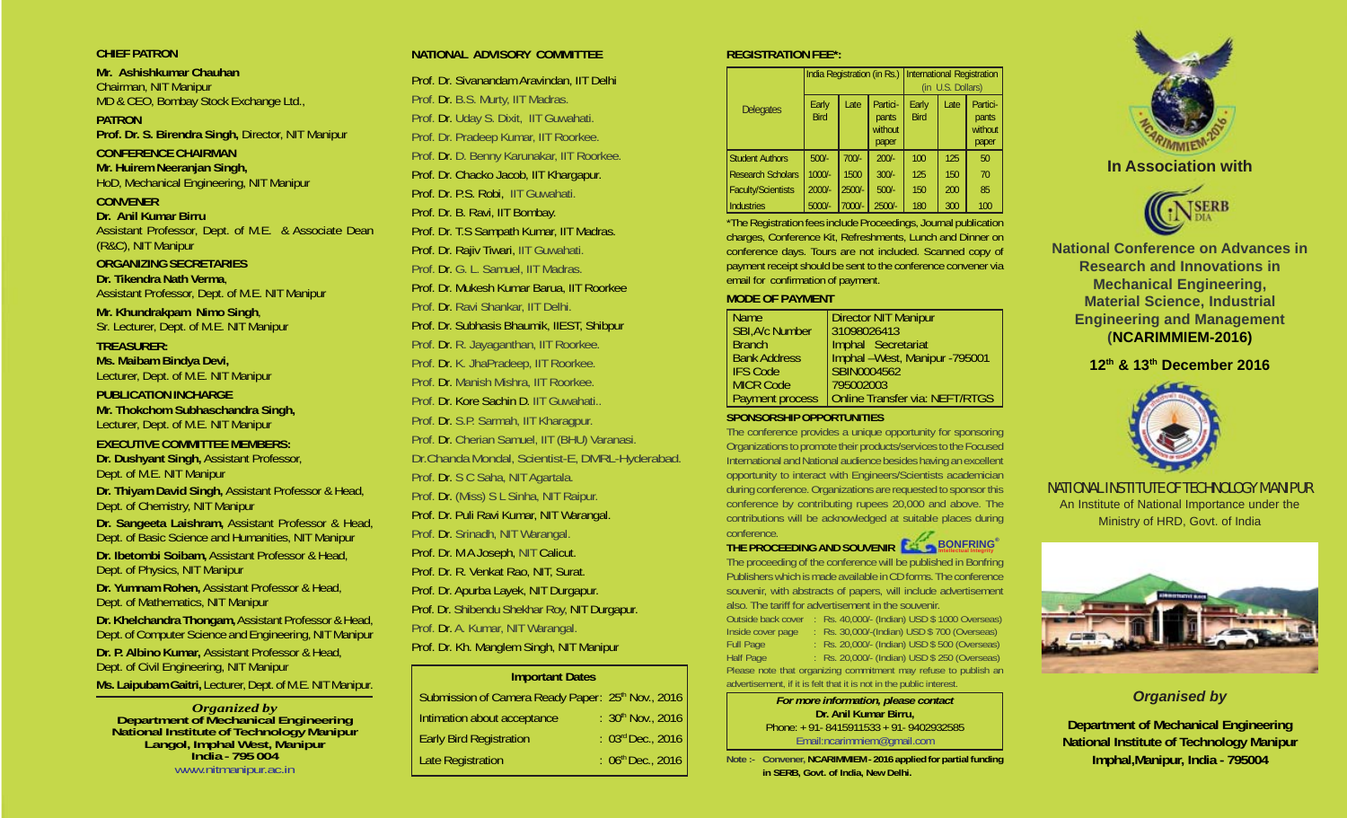### **CHIEF PATRON**

**Mr. Ashishkumar Chauhan** Chairman, NIT Manipur MD & CEO, Bombay Stock Exchange Ltd.,

**PATRON Prof. Dr. S. Birendra Singh,** Director, NIT Manipur

# **CONFERENCE CHAIRMAN**

**Mr. Huirem Neeranjan Singh,** HoD, Mechanical Engineering, NIT Manipur

**CONVENER Dr. Anil Kumar Birru** Assistant Professor, Dept. of M.E. & Associate Dean (R&C), NIT Manipur

### **ORGANIZING SECRETARIES Dr. Tikendra Nath Verma**, Assistant Professor, Dept. of M.E. NIT Manipur

**Mr. Khundrakpam Nimo Singh**, Sr. Lecturer, Dept. of M.E. NIT Manipur

**TREASURER: Ms. Maibam Bindya Devi,** Lecturer, Dept. of M.E. NIT Manipur

**PUBLICATION INCHARGE Mr. Thokchom Subhaschandra Singh,** Lecturer, Dept. of M.E. NIT Manipur

### **EXECUTIVE COMMITTEE MEMBERS:**

**Dr. Dushyant Singh,** Assistant Professor, Dept. of M.E. NIT Manipur **Dr. Thiyam David Singh,** Assistant Professor & Head, Dept. of Chemistry, NIT Manipur

**Dr. Sangeeta Laishram,** Assistant Professor & Head, Dept. of Basic Science and Humanities, NIT Manipur

**Dr. Ibetombi Soibam,** Assistant Professor & Head, Dept. of Physics, NIT Manipur

**Dr. Yumnam Rohen,** Assistant Professor & Head, Dept. of Mathematics, NIT Manipur

**Dr. Khelchandra Thongam,** Assistant Professor & Head, Dept. of Computer Science and Engineering, NIT Manipur **Dr. P. Albino Kumar,** Assistant Professor & Head, Dept. of Civil Engineering, NIT Manipur

**Ms. Laipubam Gaitri,** Lecturer, Dept. of M.E. NIT Manipur.

*Organized by* **Department of Mechanical Engineering National Institute of Technology Manipur Langol, Imphal West, Manipur India - 795 004** www.nitmanipur.ac.in

## **NATIONAL ADVISORY COMMITTEE**

Prof. Dr. Sivanandam Aravindan, IIT Delhi Prof. Dr. B.S. Murty, IIT Madras. Prof. Dr. Uday S. Dixit, IIT Guwahati. Prof. Dr. Pradeep Kumar, IIT Roorkee. Prof. Dr. D. Benny Karunakar, IIT Roorkee. Prof. Dr. Chacko Jacob, IIT Khargapur. Prof. Dr. P.S. Robi, IIT Guwahati. Prof. Dr. B. Ravi, IIT Bombay. Prof. Dr. T.S Sampath Kumar, IIT Madras. Prof. Dr. Rajiv Tiwari, IIT Guwahati. Prof. Dr. G. L. Samuel, IIT Madras. Prof. Dr. Mukesh Kumar Barua, IIT Roorkee Prof. Dr. Ravi Shankar, IIT Delhi. Prof. Dr. Subhasis Bhaumik, IIEST, Shibpur Prof. Dr. R. Jayaganthan, IIT Roorkee. Prof. Dr. K. JhaPradeep, IIT Roorkee. Prof. Dr. Manish Mishra, IIT Roorkee. Prof. Dr. Kore Sachin D. IIT Guwahati.. Prof. Dr. S.P. Sarmah, IIT Kharagpur. Prof. Dr. Cherian Samuel, IIT (BHU) Varanasi. Dr.Chanda Mondal, Scientist-E, DMRL-Hyderabad. Prof. Dr. S C Saha, NIT Agartala. Prof. Dr. (Miss) S L Sinha, NIT Raipur. Prof. Dr. Puli Ravi Kumar, NIT Warangal. Prof. Dr. Srinadh, NIT Warangal. Prof. Dr. M A Joseph, NIT Calicut. Prof. Dr. R. Venkat Rao, NIT, Surat. Prof. Dr. Apurba Layek, NIT Durgapur. Prof. Dr. Shibendu Shekhar Roy, NIT Durgapur. Prof. Dr. A. Kumar, NIT Warangal. Prof. Dr. Kh. Manglem Singh, NIT Manipur

### **Important Dates**

| Submission of Camera Ready Paper: 25 <sup>th</sup> Nov., 2016 |                        |
|---------------------------------------------------------------|------------------------|
| Intimation about acceptance                                   | : 30th Nov., 2016      |
| Early Bird Registration                                       | : 03rd Dec., 2016      |
| Late Registration                                             | : $06^{th}$ Dec., 2016 |
|                                                               |                        |

# **REGISTRATION FEE\*:**

|                           | India Registration (in Rs.) International Registration |          |                                       | U.S. Dollars)<br>ín. |      |                                       |
|---------------------------|--------------------------------------------------------|----------|---------------------------------------|----------------------|------|---------------------------------------|
| <b>Delegates</b>          | Early<br><b>Bird</b>                                   | Late     | Partici-<br>pants<br>without<br>paper | Early<br><b>Bird</b> | Late | Partici-<br>pants<br>without<br>paper |
| <b>Student Authors</b>    | $500/-$                                                | $700/-$  | $200/-$                               | 100                  | 125  | 50                                    |
| <b>Research Scholars</b>  | $1000/-$                                               | 1500     | $300/-$                               | 125                  | 150  | 70                                    |
| <b>Faculty/Scientists</b> | $2000/-$                                               | $2500/-$ | $500/-$                               | 150                  | 200  | 85                                    |
| <b>Industries</b>         | $5000/-$                                               | 7000/-   | $2500/-$                              | 180                  | 300  | 100                                   |

\*The Registration fees include Proceedings, Journal publication charges, Conference Kit, Refreshments, Lunch and Dinner on conference days. Tours are not included. Scanned copy of payment receipt should be sent to the conference convener via email for confirmation of payment.

### **MODE OF PAYMENT**

| <b>Name</b>            | <b>Director NIT Manipur</b>           |  |
|------------------------|---------------------------------------|--|
| SBI, A/c Number        | 31098026413                           |  |
| Branch                 | Imphal Secretariat                    |  |
| <b>Bank Address</b>    | Imphal -West, Manipur -795001         |  |
| IFS Code               | SBIN0004562                           |  |
| MICR Code              | 795002003                             |  |
| <b>Payment process</b> | <b>Online Transfer via: NEFT/RTGS</b> |  |

### **SPONSORSHIP OPPORTUNITIES**

The conference provides a unique opportunity for sponsoring Organizations to promote their products/services to the Focused International and National audience besides having an excellent opportunity to interact with Engineers/Scientists academician during conference. Organizations are requested to sponsor this conference by contributing rupees 20,000 and above. The contributions will be acknowledged at suitable places during conference.

# **THE PROCEEDING AND SOUVENIR BONFRING**® **Intellectual Integrity**

The proceeding of the conference will be published in Bonfring Publishers which is made available in CD forms. The conference souvenir, with abstracts of papers, will include advertisement also. The tariff for advertisement in the souvenir.

Outside back cover : Rs. 40,000/- (Indian) USD \$ 1000 Overseas) Inside cover page : Rs. 30,000/-(Indian) USD \$ 700 (Overseas) Full Page : Rs. 20,000/- (Indian) USD \$ 500 (Overseas) Half Page : Rs. 20,000/- (Indian) USD \$ 250 (Overseas) Please note that organizing commitment may refuse to publish an advertisement, if it is felt that it is not in the public interest.

> *For more information, please contact* **Dr. Anil Kumar Birru,** Phone: + 91- 8415911533 + 91- 9402932585 Email:ncarimmiem@gmail.com

**Note :- Convener, NCARIMMIEM - 2016 applied for partial funding in SERB, Govt. of India, New Delhi.**



# **In Association with**



**National Conference on Advances in Research and Innovations in Mechanical Engineering, Material Science, Industrial Engineering and Management (NCARIMMIEM-2016)**

# **12th & 13th December 2016**



NATIONAL INSTITUTE OF TECHNOLOGY MANIPUR An Institute of National Importance under the Ministry of HRD, Govt. of India



# *Organised by*

**Department of Mechanical Engineering National Institute of Technology Manipur Imphal,Manipur, India - 795004**